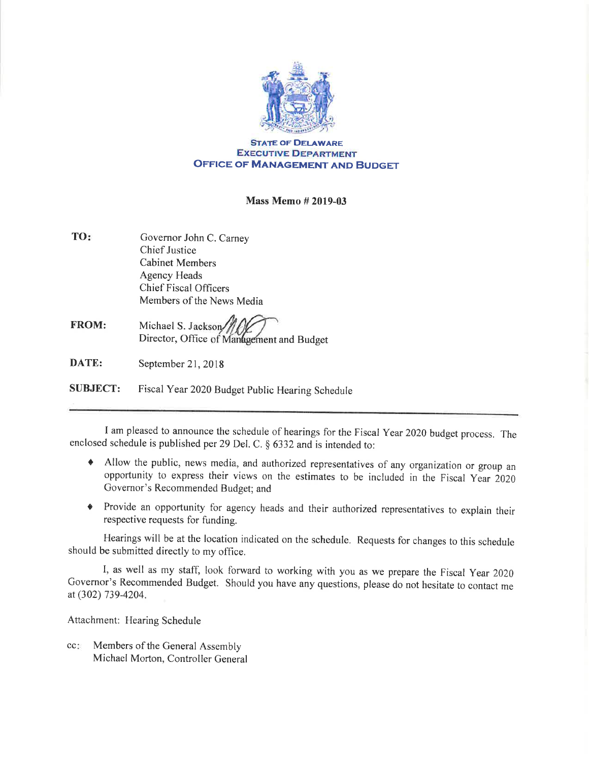

## **STATE OF DELAWARE EXECUTIVE DEPARTMENT** OFFICE OF MANAGEMENT AND BUDGET

## Mass Memo # 2019-03

- TO Governor John C. Carney Chief Justice Cabinet Members Agency Heads Chief Fiscal Officers Members of the News Media
- FROM: Michael S. Jackson Director, Office of Management and Budget

DATE: September 21,2018

SUBJECT: Fiscal Year 2020 Budget Public Hearing Schedule

I am pleased to announce the schedule of hearings for the Fiscal Year 2020 budget process. The enclosed schedule is published per 29 Del. C.  $\S$  6332 and is intended to:

- t Allow the public, news media, and authorized representatives of any organization or group an opportunity to express their views on the estimates to be included in the Fiscal Year 2020 Governor's Recommended Budget; and
- c Provide an opportunity for agency heads and their authorized representatives to explain their respective requests for funding.

Hearings will be at the location indicated on the schedule. Requests for changes to this schedule should be submitted directly to my office.

I, as well as my staff, look forward to working with you as we prepare the Fiscal year <sup>2020</sup> Governor's Recommended Budget. Should you have any questions, please do not hesitate to contact me at (302) 739-4204.

Attachment: Hearing Schedule

Members of the General Assembly Michael Morton, Controller General cc: